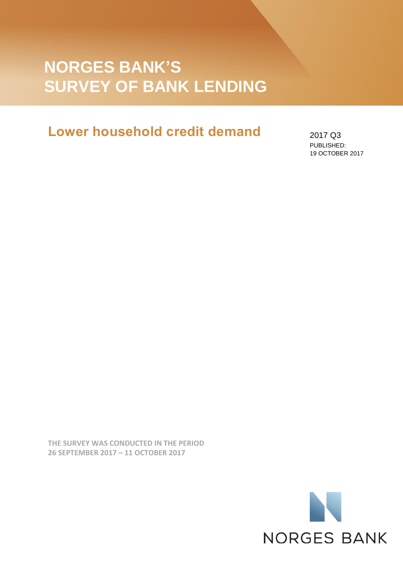# **NORGES BANK'S SURVEY OF BANK LENDING**

## **Lower household credit demand**

2017 Q3 PUBLISHED: 19 OCTOBER 2017

**THE SURVEY WAS CONDUCTED IN THE PERIOD 26 SEPTEMBER 2017 – 11 OCTOBER 2017**

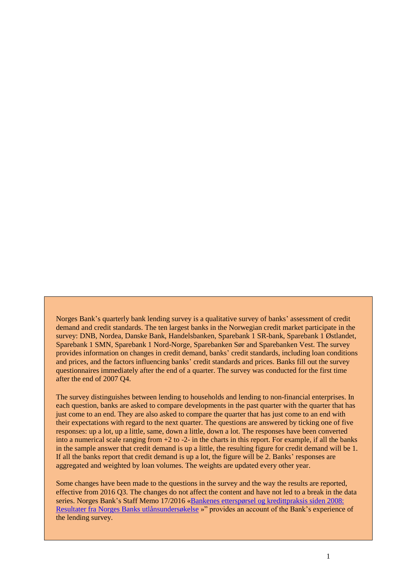Norges Bank's quarterly bank lending survey is a qualitative survey of banks' assessment of credit demand and credit standards. The ten largest banks in the Norwegian credit market participate in the survey: DNB, Nordea, Danske Bank, Handelsbanken, Sparebank 1 SR-bank, Sparebank 1 Østlandet, Sparebank 1 SMN, Sparebank 1 Nord-Norge, Sparebanken Sør and Sparebanken Vest. The survey provides information on changes in credit demand, banks' credit standards, including loan conditions and prices, and the factors influencing banks' credit standards and prices. Banks fill out the survey questionnaires immediately after the end of a quarter. The survey was conducted for the first time after the end of 2007 Q4.

The survey distinguishes between lending to households and lending to non-financial enterprises. In each question, banks are asked to compare developments in the past quarter with the quarter that has just come to an end. They are also asked to compare the quarter that has just come to an end with their expectations with regard to the next quarter. The questions are answered by ticking one of five responses: up a lot, up a little, same, down a little, down a lot. The responses have been converted into a numerical scale ranging from +2 to -2- in the charts in this report. For example, if all the banks in the sample answer that credit demand is up a little, the resulting figure for credit demand will be 1. If all the banks report that credit demand is up a lot, the figure will be 2. Banks' responses are aggregated and weighted by loan volumes. The weights are updated every other year.

Some changes have been made to the questions in the survey and the way the results are reported, effective from 2016 Q3. The changes do not affect the content and have not led to a break in the data series. Norges Bank's Staff Memo 17/2016 [«Bankenes etterspørsel og kredittpraksis siden 2008:](http://www.norges-bank.no/Publisert/Signerte-publikasjoner/Staff-Memo/2016/Staff-Memo-172016/)  [Resultater fra Norges Banks utlånsundersøkelse](http://www.norges-bank.no/Publisert/Signerte-publikasjoner/Staff-Memo/2016/Staff-Memo-172016/) »" provides an account of the Bank's experience of the lending survey.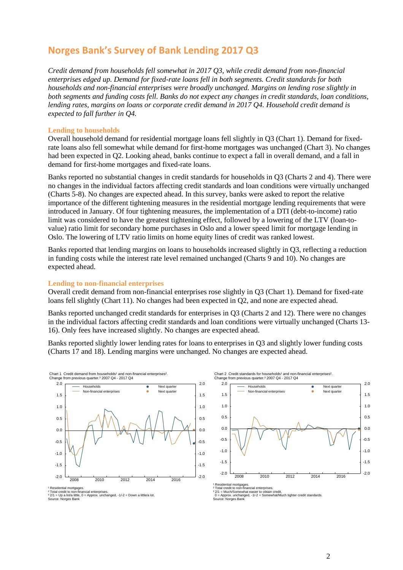## **Norges Bank's Survey of Bank Lending 2017 Q3**

*Credit demand from households fell somewhat in 2017 Q3, while credit demand from non-financial enterprises edged up. Demand for fixed-rate loans fell in both segments. Credit standards for both households and non-financial enterprises were broadly unchanged. Margins on lending rose slightly in both segments and funding costs fell. Banks do not expect any changes in credit standards, loan conditions, lending rates, margins on loans or corporate credit demand in 2017 Q4. Household credit demand is expected to fall further in Q4.*

### **Lending to households**

Overall household demand for residential mortgage loans fell slightly in Q3 (Chart 1). Demand for fixedrate loans also fell somewhat while demand for first-home mortgages was unchanged (Chart 3). No changes had been expected in Q2. Looking ahead, banks continue to expect a fall in overall demand, and a fall in demand for first-home mortgages and fixed-rate loans.

Banks reported no substantial changes in credit standards for households in Q3 (Charts 2 and 4). There were no changes in the individual factors affecting credit standards and loan conditions were virtually unchanged (Charts 5-8). No changes are expected ahead. In this survey, banks were asked to report the relative importance of the different tightening measures in the residential mortgage lending requirements that were introduced in January. Of four tightening measures, the implementation of a DTI (debt-to-income) ratio limit was considered to have the greatest tightening effect, followed by a lowering of the LTV (loan-tovalue) ratio limit for secondary home purchases in Oslo and a lower speed limit for mortgage lending in Oslo. The lowering of LTV ratio limits on home equity lines of credit was ranked lowest.

Banks reported that lending margins on loans to households increased slightly in Q3, reflecting a reduction in funding costs while the interest rate level remained unchanged (Charts 9 and 10). No changes are expected ahead.

#### **Lending to non-financial enterprises**

Overall credit demand from non-financial enterprises rose slightly in Q3 (Chart 1). Demand for fixed-rate loans fell slightly (Chart 11). No changes had been expected in Q2, and none are expected ahead.

Banks reported unchanged credit standards for enterprises in Q3 (Charts 2 and 12). There were no changes in the individual factors affecting credit standards and loan conditions were virtually unchanged (Charts 13- 16). Only fees have increased slightly. No changes are expected ahead.

Banks reported slightly lower lending rates for loans to enterprises in Q3 and slightly lower funding costs (Charts 17 and 18). Lending margins were unchanged. No changes are expected ahead.



' Residential mortgages.<br>य Total credit to non-financial enterprises.<br>ª 2/1 = Up a lot/a little, 0 = Approx. unchanged, -1/-2 = Down a little/a lot.<br>Source: Norges Bank

Chart 2 Credit standards for households<sup>1</sup> and non-financial enterprises<sup>2</sup><br>Change from previous quarter.<sup>3</sup> 2007 Q4 - 2017 Q4 Change from previous quarter.³ 2007 Q4 - 2017 Q4



† Residential mortgages.<br>ª Total credit to non-financial enterprises.<br>ª 2/1 = Much/Somewhat easier to obtain credit,<br>Ⅰ = Approx. unchanged, -1/-2 = Somewhat/Much tighter credit standards.<br>Source: Norges Bank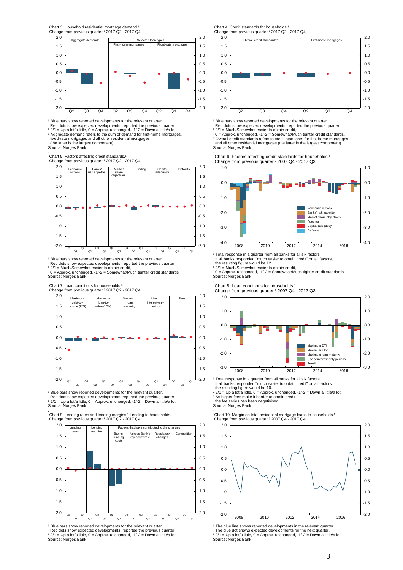

¹ Blue bars show reported developments for the relevant quarter. Red dots show expected developments, reported the previous quarter. ² 2/1 = Up a lot/a little, 0 = Approx. unchanged, -1/-2 = Down a little/a lot.<br>ª Aggregate demand refers to the sum of demand for first-home mortgages,<br>· fixed-rate mortgages and all other residential mortgages

(the latter is the largest component).

Source: Norges Bank

.<br>Chart 5 Factors affecting credit standards.<sup>1</sup><br>Change from previous quarter.<sup>2</sup> 2017 Q2 - 2017 Q4



<sup>1</sup> Blue bars show reported developments for the relevant quarter.

Red dots show expected developments, reported the previous quarter.<br>º 2/1 = Much/Somewhat easier to obtain credit,<br>º = Approx. unchanged, -1/-2 = Somewhat/Much tighter credit standards.

Source: Norges Bank

.<br>Chart 7 Loan conditions for households.<sup>1</sup>



<sup>1</sup> Blue bars show reported developments for the relevant quarter. Red dots show expected developments, reported the previous quarter. ª 2/1 = Up a lot/a little, 0 = Approx. unchanged, -1/-2 = Down a little/a lot.<br>Source: Norges Bank

.<br>Chart 9 Lending rates and lending margins.<sup>1</sup> Lending to households.<br>Change from previous quarter.<sup>z</sup> 2017 Q2 - 2017 Q4



<sup>1</sup> Blue bars show reported developments for the relevant quarter.<br>Red dots show expected developments, reported the previous quarter.  $^{2}$  2/1 = Up a lot/a little, 0 = Approx. unchanged, -1/-2 = Down a little/a lot. Source: Norges Bank

Chart 4 Credit standards for households.



<sup>1</sup> Blue bars show reported developments for the relevant quarter.<br>Red dots show expected developments, reported the previous quarter.

² 2/1 = Much/Somewhat easier to obtain credit,

 0 = Approx. unchanged, -1/-2 = Somewhat/Much tighter credit standards. ³ Overall credit standards refers to credit standards for first-home mortgages and all other residential mortgages (the latter is the largest component).

Source: Norges Bank .

Chart 6 Factors affecting credit standards for households.<sup>1</sup> Change from previous quarter.² 2007 Q4 - 2017 Q3



' Total response in a quarter from all banks for all six factors.<br>If all banks responded "much easier to obtain credit" on all factors,

the resulting figure would be 12.<br>ª 2/1 = Much/Somewhat easier to obtain credit,<br>0= Approx. unchanged, -1/-2 = Somewhat/Much tighter credit standards. Source: Norges Bank

.<br>Chart 8 Loan conditions for households.<sup>1</sup>

Change from previous quarter.² 2007 Q4 - 2017 Q3



<sup>1</sup> Total response in a quarter from all banks for all six factors.<br>If all banks responded "much easier to obtain credit" on all factors,<br>the resulting figure would be 10.

² 2/1 = Up a lot/a little, 0 = Approx. unchanged, -1/-2 = Down a little/a lot. ³ As higher fees make it harder to obtain credit, the fee series has been negativised.

Source: Norges Bank

.<br>Chart 10 Margin on total residential mortgage loans to households.<sup>1</sup><br>Change from previous quarter.<sup>3</sup> 2007 Q4 - 2017 Q4



<sup>1</sup> The blue line shows reported developments in the relevant quarter.<br>The blue dot shows expected developments for the next quarter.

 $2$  2/1 = Up a lot/a little, 0 = Approx. unchanged, -1/-2 = Down a little/a lot. Source: Norges Bank